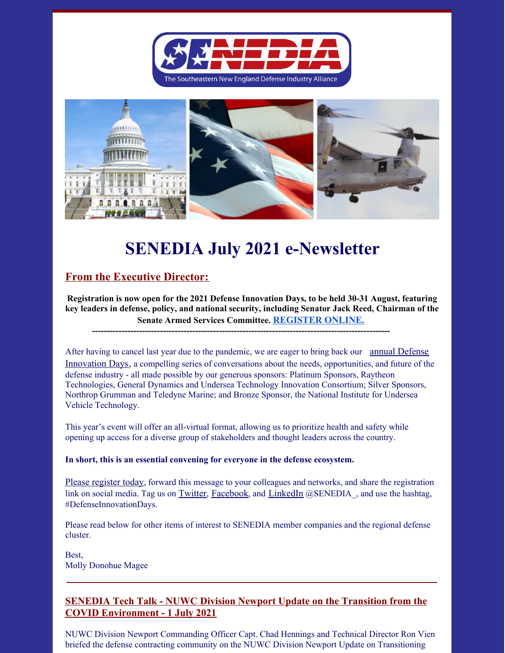



# **SENEDIA July 2021 e-Newsletter**

## **From the Executive Director:**

**Registration is now open for the 2021 Defense Innovation Days, to be held 30-31 August, featuring key leaders in defense, policy, and national security, including Senator Jack Reed, Chairman of the Senate Armed Services Committee. [REGISTER](https://www.senedia.org/defense-innovation-days/) ONLINE.**

**-----------------------------------------------------------------------------------------------------**

After having to cancel last year due to the pandemic, we are eager to bring back our annual Defense Innovation Days, a compelling series of conversations about the needs, [opportunities,](https://www.senedia.org/defense-innovation-days/) and future of the defense industry - all made possible by our generous sponsors: Platinum Sponsors, Raytheon Technologies, General Dynamics and Undersea Technology Innovation Consortium; Silver Sponsors, Northrop Grumman and Teledyne Marine; and Bronze Sponsor, the National Institute for Undersea Vehicle Technology.

This year's event will offer an all-virtual format, allowing us to prioritize health and safety while opening up access for a diverse group of stakeholders and thought leaders across the country.

#### **In short, this is an essential convening for everyone in the defense ecosystem.**

Please [register](https://www.senedia.org/defense-innovation-days/) today, forward this message to your colleagues and networks, and share the registration link on social media. Tag us on [Twitter](https://twitter.com/senedia_), [Facebook](https://www.facebook.com/SouthEasternNewEnglandDefenseIndustryAlliance), and [LinkedIn](https://www.linkedin.com/groups?gid=4920888) @SENEDIA, and use the hashtag, #DefenseInnovationDays.

Please read below for other items of interest to SENEDIA member companies and the regional defense cluster.

Best, Molly Donohue Magee

### **SENEDIA Tech Talk - NUWC Division Newport Update on the Transition from the COVID Environment - 1 July 2021**

NUWC Division Newport Commanding Officer Capt. Chad Hennings and Technical Director Ron Vien briefed the defense contracting community on the NUWC Division Newport Update on Transitioning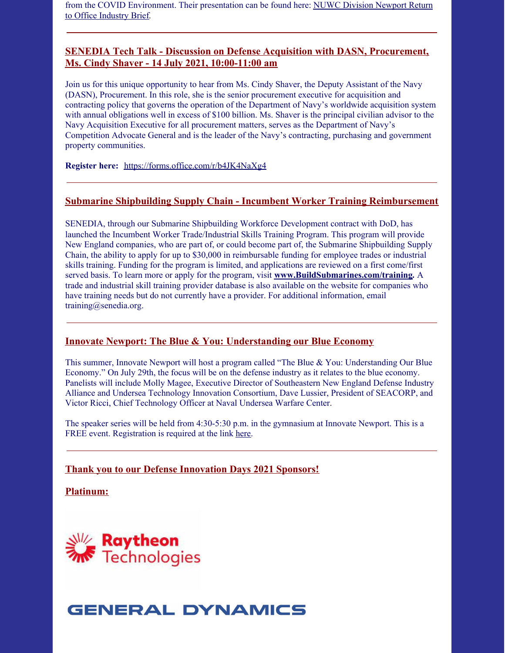from the COVID [Environment.](https://www.senedia.org/wp-content/uploads/2021/07/NUWC-Division-Newport-Return-to-Office-Industry-Brief-July-1-2021-R1.pdf) Their presentation can be found here: NUWC Division Newport Return to Office Industry Brief.

#### **SENEDIA Tech Talk - Discussion on Defense Acquisition with DASN, Procurement, Ms. Cindy Shaver - 14 July 2021, 10:00-11:00 am**

Join us for this unique opportunity to hear from Ms. Cindy Shaver, the Deputy Assistant of the Navy (DASN), Procurement. In this role, she is the senior procurement executive for acquisition and contracting policy that governs the operation of the Department of Navy's worldwide acquisition system with annual obligations well in excess of \$100 billion. Ms. Shaver is the principal civilian advisor to the Navy Acquisition Executive for all procurement matters, serves as the Department of Navy's Competition Advocate General and is the leader of the Navy's contracting, purchasing and government property communities.

**Register here:** <https://forms.office.com/r/b4JK4NaXg4>

#### **Submarine Shipbuilding Supply Chain - Incumbent Worker Training Reimbursement**

SENEDIA, through our Submarine Shipbuilding Workforce Development contract with DoD, has launched the Incumbent Worker Trade/Industrial Skills Training Program. This program will provide New England companies, who are part of, or could become part of, the Submarine Shipbuilding Supply Chain, the ability to apply for up to \$30,000 in reimbursable funding for employee trades or industrial skills training. Funding for the program is limited, and applications are reviewed on a first come/first served basis. To learn more or apply for the program, visit **[www.BuildSubmarines.com/training](http://www.buildsubmarines.com/training).** A trade and industrial skill training provider database is also available on the website for companies who have training needs but do not currently have a provider. For additional information, email training@senedia.org.

#### **Innovate Newport: The Blue & You: Understanding our Blue Economy**

This summer, Innovate Newport will host a program called "The Blue & You: Understanding Our Blue Economy." On July 29th, the focus will be on the defense industry as it relates to the blue economy. Panelists will include Molly Magee, Executive Director of Southeastern New England Defense Industry Alliance and Undersea Technology Innovation Consortium, Dave Lussier, President of SEACORP, and Victor Ricci, Chief Technology Officer at Naval Undersea Warfare Center.

The speaker series will be held from 4:30-5:30 p.m. in the gymnasium at Innovate Newport. This is a FREE event. Registration is required at the link [here](https://www.eventbrite.com/e/the-blue-you-understanding-our-blue-economy-tickets-160962642597).

**Thank you to our Defense Innovation Days 2021 Sponsors!**

**Platinum:**



# **GENERAL DYNAMICS**